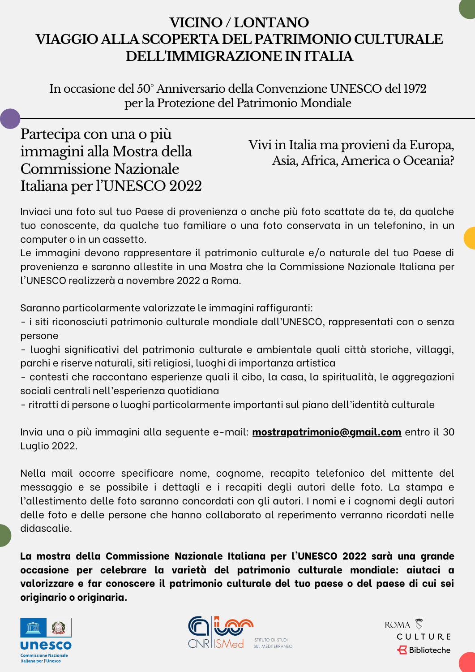## **VICINO / LONTANO VIAGGIO ALLA SCOPERTA DEL PATRIMONIO CULTURALE DELL'IMMIGRAZIONE IN ITALIA**

In occasione del 50° Anniversario della Convenzione UNESCO del 1972 per la Protezione del Patrimonio Mondiale

# Partecipa con una o più immagini alla Mostra della Commissione Nazionale Italiana per l'UNESCO 2022

#### Vivi in Italia ma provieni da Europa, Asia, Africa, America o Oceania?

Inviaci una foto sul tuo Paese di provenienza o anche più foto scattate da te, da qualche tuo conoscente, da qualche tuo familiare o una foto conservata in un telefonino, in un computer o in un cassetto.

Le immagini devono rappresentare il patrimonio culturale e/o naturale del tuo Paese di provenienza e saranno allestite in una Mostra che la Commissione Nazionale Italiana per l'UNESCO realizzerà a novembre 2022 a Roma.

Saranno particolarmente valorizzate le immagini raffiguranti:

- i siti riconosciuti patrimonio culturale mondiale dall'UNESCO, rappresentati con o senza persone
- luoghi significativi del patrimonio culturale e ambientale quali città storiche, villaggi, parchi e riserve naturali, siti religiosi, luoghi di importanza artistica
- contesti che raccontano esperienze quali il cibo, la casa, la spiritualità, le aggregazioni sociali centrali nell'esperienza quotidiana
- ritratti di persone o luoghi particolarmente importanti sul piano dell'identità culturale

Invia una o più immagini alla seguente e-mail: **[mostrapatrimonio@gmail.com](mailto:mostrapatrimonio@gmail.com)** entro il 30 Luglio 2022.

Nella mail occorre specificare nome, cognome, recapito telefonico del mittente del messaggio e se possibile i dettagli e i recapiti degli autori delle foto. La stampa e l'allestimento delle foto saranno concordati con gli autori. I nomi e i cognomi degli autori delle foto e delle persone che hanno collaborato al reperimento verranno ricordati nelle didascalie.

**La mostra della Commissione Nazionale Italiana per l'UNESCO 2022 sarà una grande occasione per celebrare la varietà del patrimonio culturale mondiale: aiutaci a valorizzare e far conoscere il patrimonio culturale del tuo paese o del paese di cui sei originario o originaria.**





ROMA S CULTURE **Biblioteche**